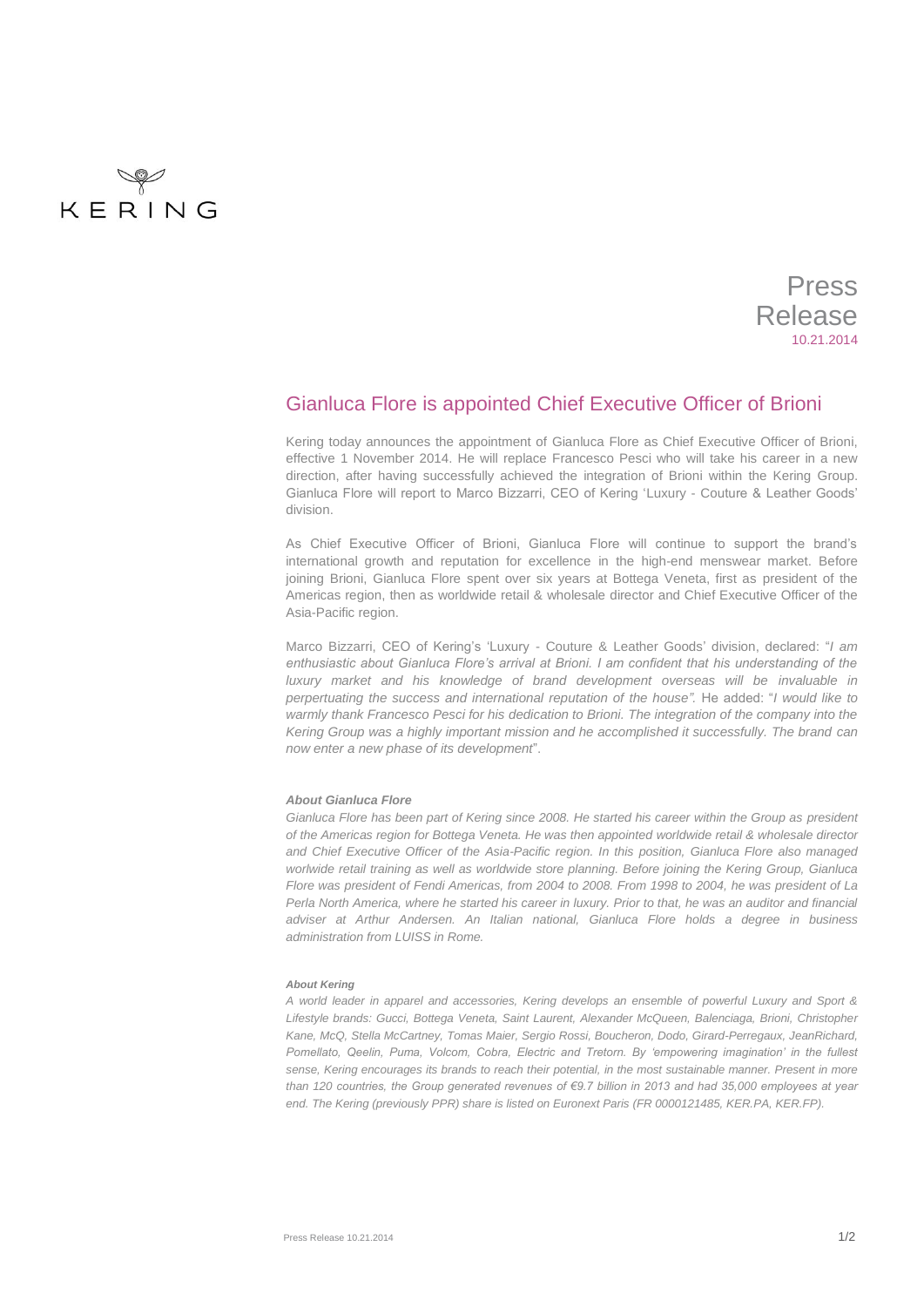

Press Release 10.21.2014

## Gianluca Flore is appointed Chief Executive Officer of Brioni

Kering today announces the appointment of Gianluca Flore as Chief Executive Officer of Brioni, effective 1 November 2014. He will replace Francesco Pesci who will take his career in a new direction, after having successfully achieved the integration of Brioni within the Kering Group. Gianluca Flore will report to Marco Bizzarri, CEO of Kering 'Luxury - Couture & Leather Goods' division.

As Chief Executive Officer of Brioni, Gianluca Flore will continue to support the brand's international growth and reputation for excellence in the high-end menswear market. Before joining Brioni, Gianluca Flore spent over six years at Bottega Veneta, first as president of the Americas region, then as worldwide retail & wholesale director and Chief Executive Officer of the Asia-Pacific region.

Marco Bizzarri, CEO of Kering's 'Luxury - Couture & Leather Goods' division, declared: "*I am enthusiastic about Gianluca Flore's arrival at Brioni. I am confident that his understanding of the luxury market and his knowledge of brand development overseas will be invaluable in perpertuating the success and international reputation of the house".* He added: "*I would like to*  warmly thank Francesco Pesci for his dedication to Brioni. The integration of the company into the *Kering Group was a highly important mission and he accomplished it successfully. The brand can now enter a new phase of its development*".

## *About Gianluca Flore*

Gianluca Flore has been part of Kering since 2008. He started his career within the Group as president *of the Americas region for Bottega Veneta. He was then appointed worldwide retail & wholesale director and Chief Executive Officer of the Asia-Pacific region. In this position, Gianluca Flore also managed worlwide retail training as well as worldwide store planning. Before joining the Kering Group, Gianluca Flore was president of Fendi Americas, from 2004 to 2008. From 1998 to 2004, he was president of La Perla North America, where he started his career in luxury. Prior to that, he was an auditor and financial adviser at Arthur Andersen. An Italian national, Gianluca Flore holds a degree in business administration from LUISS in Rome.* 

## *About Kering*

*A world leader in apparel and accessories, Kering develops an ensemble of powerful Luxury and Sport & Lifestyle brands: Gucci, Bottega Veneta, Saint Laurent, Alexander McQueen, Balenciaga, Brioni, Christopher Kane, McQ, Stella McCartney, Tomas Maier, Sergio Rossi, Boucheron, Dodo, Girard-Perregaux, JeanRichard, Pomellato, Qeelin, Puma, Volcom, Cobra, Electric and Tretorn. By 'empowering imagination' in the fullest sense, Kering encourages its brands to reach their potential, in the most sustainable manner. Present in more than 120 countries, the Group generated revenues of €9.7 billion in 2013 and had 35,000 employees at year end. The Kering (previously PPR) share is listed on Euronext Paris (FR 0000121485, KER.PA, KER.FP).*